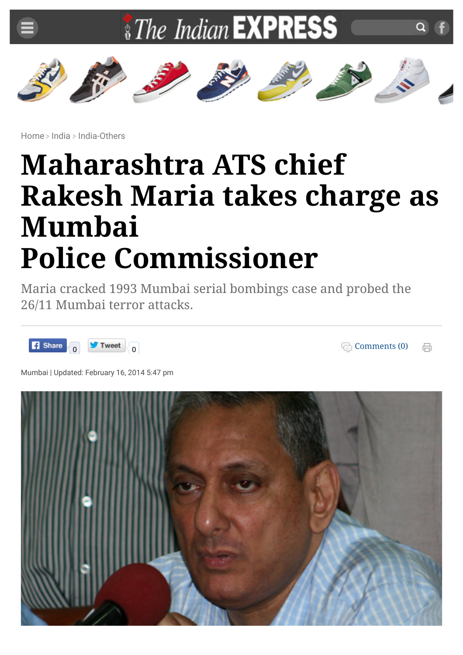

[Home](http://indianexpress.com/) > [India](http://indianexpress.com/section/india/) > [India-Others](http://indianexpress.com/section/india/india-others/)

## **Maharashtra ATS chief Rakesh Maria takes charge as Mumbai Police Commissioner**

Maria cracked 1993 Mumbai serial bombings case and probed the 26/11 Mumbai terror attacks.



[Comments \(0\)](http://indianexpress.com/article/india/india-others/maharashtra-ats-chief-rakesh-maria-takes-charge-as-mumbai-police-commissioner/#comments) 鬲

Mumbai | Updated: February 16, 2014 5:47 pm

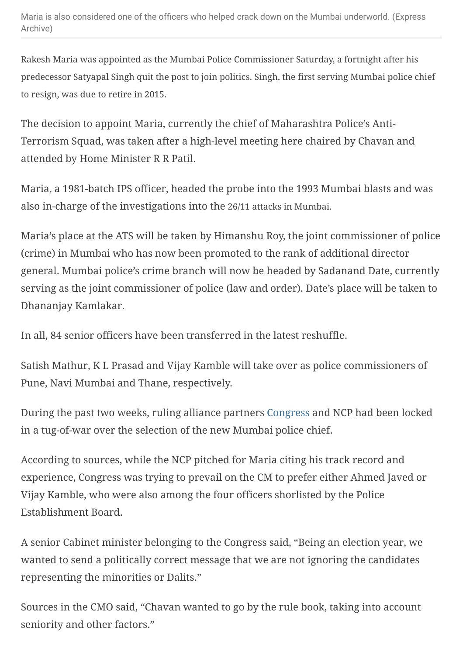Rakesh Maria was appointed as the Mumbai Police Commissioner Saturday, a fortnight after his predecessor Satyapal Singh quit the post to join politics. Singh, the first serving Mumbai police chief to resign, was due to retire in 2015.

The decision to appoint Maria, currently the chief of Maharashtra Police's Anti-Terrorism Squad, was taken after a high-level meeting here chaired by Chavan and attended by Home Minister R R Patil.

Maria, a 1981-batch IPS officer, headed the probe into the 1993 Mumbai blasts and was also in-charge of the investigations into the 26/11 attacks in Mumbai.

Maria's place at the ATS will be taken by Himanshu Roy, the joint commissioner of police (crime) in Mumbai who has now been promoted to the rank of additional director general. Mumbai police's crime branch will now be headed by Sadanand Date, currently serving as the joint commissioner of police (law and order). Date's place will be taken to Dhananjay Kamlakar.

In all, 84 senior officers have been transferred in the latest reshuffle.

Satish Mathur, K L Prasad and Vijay Kamble will take over as police commissioners of Pune, Navi Mumbai and Thane, respectively.

During the past two weeks, ruling alliance partners [Congress](http://indianexpress.com/tag/congress/) and NCP had been locked in a tug-of-war over the selection of the new Mumbai police chief.

According to sources, while the NCP pitched for Maria citing his track record and experience, Congress was trying to prevail on the CM to prefer either Ahmed Javed or Vijay Kamble, who were also among the four officers shorlisted by the Police Establishment Board.

A senior Cabinet minister belonging to the Congress said, "Being an election year, we wanted to send a politically correct message that we are not ignoring the candidates representing the minorities or Dalits."

Sources in the CMO said, "Chavan wanted to go by the rule book, taking into account seniority and other factors."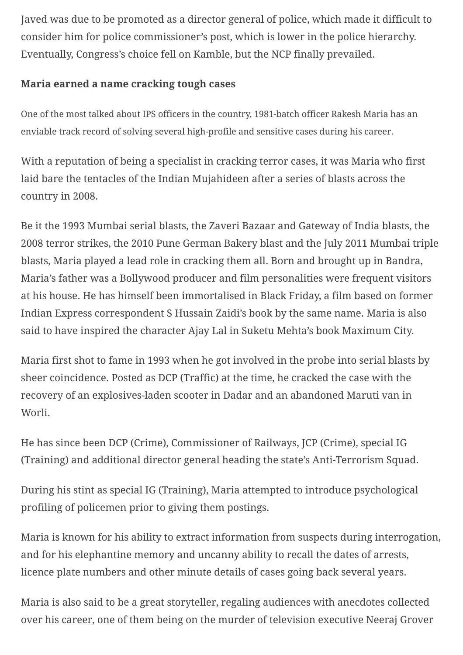Javed was due to be promoted as a director general of police, which made it difficult to consider him for police commissioner's post, which is lower in the police hierarchy. Eventually, Congress's choice fell on Kamble, but the NCP finally prevailed.

## **Maria earned a name cracking tough cases**

One of the most talked about IPS officers in the country, 1981-batch officer Rakesh Maria has an enviable track record of solving several high-profile and sensitive cases during his career.

With a reputation of being a specialist in cracking terror cases, it was Maria who first laid bare the tentacles of the Indian Mujahideen after a series of blasts across the country in 2008.

Be it the 1993 Mumbai serial blasts, the Zaveri Bazaar and Gateway of India blasts, the 2008 terror strikes, the 2010 Pune German Bakery blast and the July 2011 Mumbai triple blasts, Maria played a lead role in cracking them all. Born and brought up in Bandra, Maria's father was a Bollywood producer and film personalities were frequent visitors at his house. He has himself been immortalised in Black Friday, a film based on former Indian Express correspondent S Hussain Zaidi's book by the same name. Maria is also said to have inspired the character Ajay Lal in Suketu Mehta's book Maximum City.

Maria first shot to fame in 1993 when he got involved in the probe into serial blasts by sheer coincidence. Posted as DCP (Traffic) at the time, he cracked the case with the recovery of an explosives-laden scooter in Dadar and an abandoned Maruti van in Worli.

He has since been DCP (Crime), Commissioner of Railways, JCP (Crime), special IG (Training) and additional director general heading the state's Anti-Terrorism Squad.

During his stint as special IG (Training), Maria attempted to introduce psychological profiling of policemen prior to giving them postings.

Maria is known for his ability to extract information from suspects during interrogation, and for his elephantine memory and uncanny ability to recall the dates of arrests, licence plate numbers and other minute details of cases going back several years.

Maria is also said to be a great storyteller, regaling audiences with anecdotes collected over his career, one of them being on the murder of television executive Neeraj Grover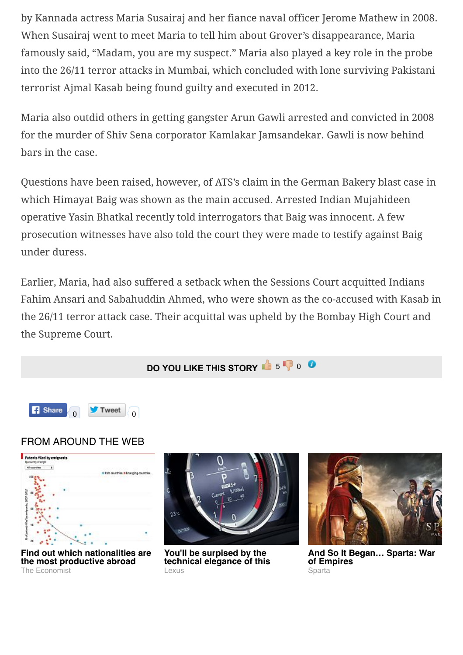by Kannada actress Maria Susairaj and her fiance naval officer Jerome Mathew in 2008. When Susairaj went to meet Maria to tell him about Grover's disappearance, Maria famously said, "Madam, you are my suspect." Maria also played a key role in the probe into the 26/11 terror attacks in Mumbai, which concluded with lone surviving Pakistani terrorist Ajmal Kasab being found guilty and executed in 2012.

Maria also outdid others in getting gangster Arun Gawli arrested and convicted in 2008 for the murder of Shiv Sena corporator Kamlakar Jamsandekar. Gawli is now behind bars in the case.

Questions have been raised, however, of ATS's claim in the German Bakery blast case in which Himayat Baig was shown as the main accused. Arrested Indian Mujahideen operative Yasin Bhatkal recently told interrogators that Baig was innocent. A few prosecution witnesses have also told the court they were made to testify against Baig under duress.

Earlier, Maria, had also suffered a setback when the Sessions Court acquitted Indians Fahim Ansari and Sabahuddin Ahmed, who were shown as the co-accused with Kasab in the 26/11 terror attack case. Their acquittal was upheld by the Bombay High Court and the Supreme Court.

**DO YOU LIKE THIS STORY 6** 5 0 0



## FROM AROUND THE WEB



**[Find out which nationalities are](https://ad.doubleclick.net/ddm/trackclk/N5532.1599088.OUTBRAIN.COM/B8673710.120813307;dc_trk_aid=293675026;dc_trk_cid=62482706) the most productive abroad** The Economist



**You'll be surpised by the [technical elegance of this](http://www.lexus-int.com/magazine/issue2/element?utm_source=outbrain&utm_medium=referral&utm_content=magazine-issue2-element-type01&utm_campaign=magazine)** l exus



**[And So It Began… Sparta: War](http://plarium.com/en/strategy-games/sparta-war-of-empires/?plid=67283&pxl=outbrain&publisherid=SP_EN_ROW_New_Pool_Test) of Empires** Sparta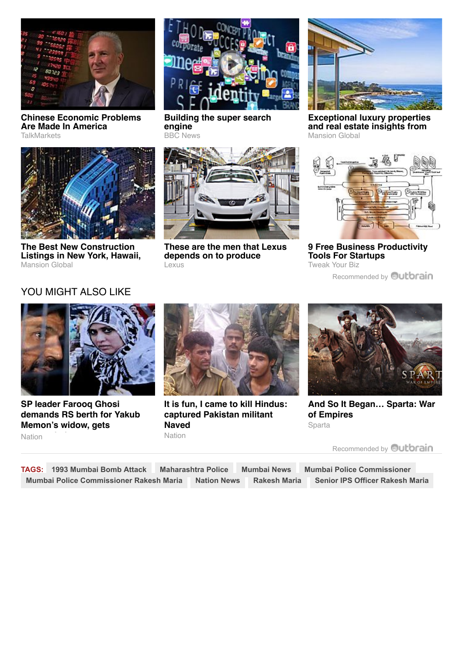

**[Chinese Economic Problems](http://www.talkmarkets.com/content/us-markets/chinese-economic-problems-are-made-in-america?post=68780&utm_source=outbrain&utm_medium=referral) Are Made In America TalkMarkets** 



**The Best New Construction [Listings in New York, Hawaii,](http://www.mansionglobal.com/developments?mod=mansiongl_AdGroup25_Outbrain_July24) Mansion Global** 



**[Building the super search](http://www.bbc.com/news/technology-33342907) engine** BBC News



**These are the men that Lexus depends on to produce** *perfection* **even mathematic candidate of the canonical contract**  $\alpha$ 



**[Exceptional luxury properties](http://www.mansionglobal.com/?mod=mansiongl_AdGroup17_Outbrain_July24) and real estate insights from Mansion Global** 



**[9 Free Business Productivity](http://tweakyourbiz.com/technology/2013/04/08/9-free-business-productivity-tools-for-startups/?utm_source=outbrain&utm_medium=promo&utm_content=outbrain&utm_campaign=Outbrain) Tools For Startups** Tweak Your Biz

[Recommended by](http://indianexpress.com/article/india/india-others/maharashtra-ats-chief-rakesh-maria-takes-charge-as-mumbai-police-commissioner/#) **Outbrain** 

## YOU MIGHT ALSO LIKE



**SP leader Farooq Ghosi [demands RS berth for Yakub](http://indianexpress.com/article/india/india-others/sp-leader-mohammed-farooq-ghosi-demands-rajya-sabha-seat-for-yakub-memons-widow/) Memon's widow, gets Nation** 



**[It is fun, I came to kill Hindus:](http://indianexpress.com/article/india/india-others/jk-encounterit-is-fun-i-came-to-kill-hindus-i-have-been-here-for-12-days-claimed-captured-terrorist/) captured Pakistan militant Naved** Nation



**[And So It Began… Sparta: War](http://plarium.com/en/strategy-games/sparta-war-of-empires/?plid=67283&pxl=outbrain&publisherid=SP_EN_ROW_New_Pool_Test) of Empires** Sparta

[Recommended by](http://indianexpress.com/article/india/india-others/maharashtra-ats-chief-rakesh-maria-takes-charge-as-mumbai-police-commissioner/#) **Outbrain** 

**TAGS: [1993 Mumbai Bomb Attack](http://indianexpress.com/tag/1993-mumbai-bomb-attack) [Maharashtra Police](http://indianexpress.com/tag/maharashtra-police) [Mumbai News](http://indianexpress.com/tag/mumbai-news) [Mumbai Police Commissioner](http://indianexpress.com/tag/mumbai-police-commissioner) [Mumbai Police Commissioner Rakesh Maria](http://indianexpress.com/tag/mumbai-police-commissioner-rakesh-maria) [Nation News](http://indianexpress.com/tag/nation-news) [Rakesh Maria](http://indianexpress.com/tag/rakesh-maria) [Senior IPS Officer Rakesh Maria](http://indianexpress.com/tag/senior-ips-officer-rakesh-maria)**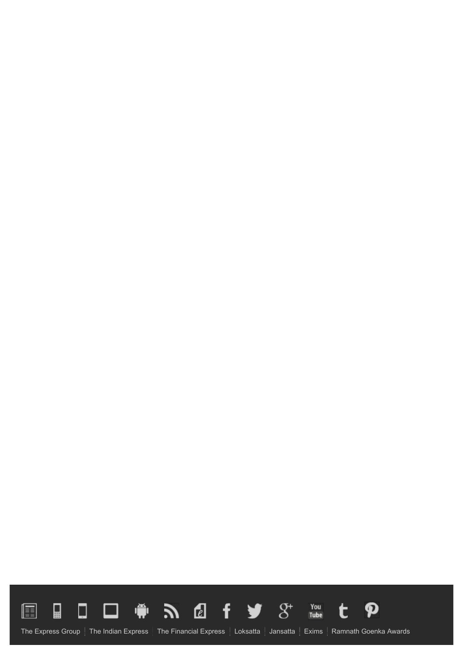